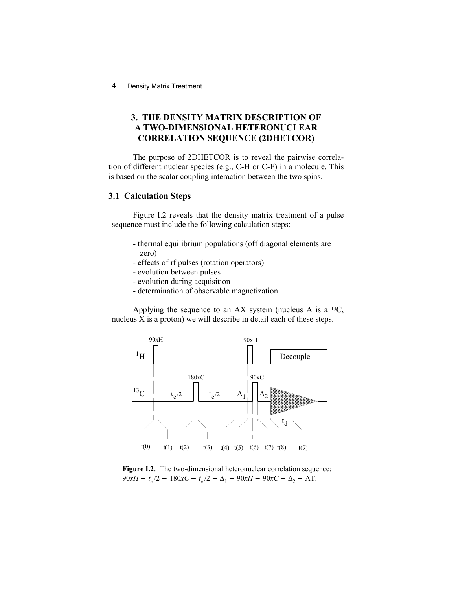# **3. THE DENSITY MATRIX DESCRIPTION OF A TWO-DIMENSIONAL HETERONUCLEAR CORRELATION SEQUENCE (2DHETCOR)**

The purpose of 2DHETCOR is to reveal the pairwise correlation of different nuclear species (e.g., C-H or C-F) in a molecule. This is based on the scalar coupling interaction between the two spins.

# **3.1 Calculation Steps**

Figure I.2 reveals that the density matrix treatment of a pulse sequence must include the following calculation steps:

- thermal equilibrium populations (off diagonal elements are zero)
- effects of rf pulses (rotation operators)
- evolution between pulses
- evolution during acquisition
- determination of observable magnetization.

Applying the sequence to an AX system (nucleus A is a  $^{13}C$ , nucleus X is a proton) we will describe in detail each of these steps.



Figure I.2. The two-dimensional heteronuclear correlation sequence:  $90xH - t_e/2 - 180xC - t_e/2 - \Delta_1 - 90xH - 90xC - \Delta_2 - AT$ .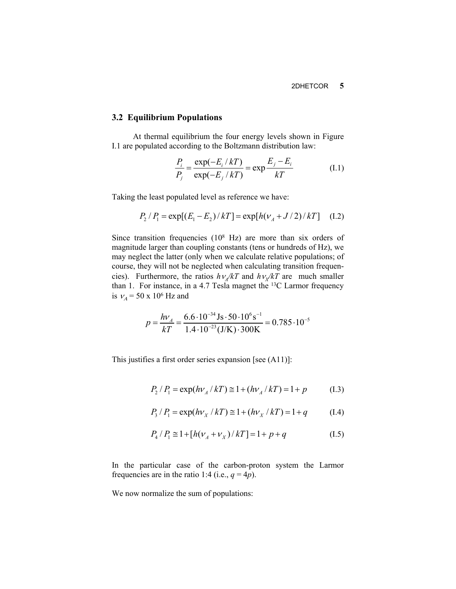#### **3.2 Equilibrium Populations**

At thermal equilibrium the four energy levels shown in Figure I.1 are populated according to the Boltzmann distribution law:

$$
\frac{P_i}{P_j} = \frac{\exp(-E_i / kT)}{\exp(-E_j / kT)} = \exp\frac{E_j - E_i}{kT}
$$
(I.1)

Taking the least populated level as reference we have:

$$
P_2 / P_1 = \exp[(E_1 - E_2) / kT] = \exp[h(\nu_A + J/2) / kT]
$$
 (I.2)

Since transition frequencies  $(10<sup>8</sup> Hz)$  are more than six orders of magnitude larger than coupling constants (tens or hundreds of Hz), we may neglect the latter (only when we calculate relative populations; of course, they will not be neglected when calculating transition frequencies). Furthermore, the ratios  $h\nu_A/kT$  and  $h\nu_X/kT$  are much smaller than 1. For instance, in a 4.7 Tesla magnet the 13C Larmor frequency is  $v_A = 50 \times 10^6$  Hz and

$$
p = \frac{hV_A}{kT} = \frac{6.6 \cdot 10^{-34} \,\text{Js} \cdot 50 \cdot 10^6 \,\text{s}^{-1}}{1.4 \cdot 10^{-23} \,\text{(J/K)} \cdot 300 \,\text{K}} = 0.785 \cdot 10^{-5}
$$

This justifies a first order series expansion [see (A11)]:

$$
P_2 / P_1 = \exp(h\nu_A / kT) \approx 1 + (h\nu_A / kT) = 1 + p \tag{1.3}
$$

$$
P_3 / P_1 = \exp(hv_X / kT) \approx 1 + (h v_X / kT) = 1 + q \tag{1.4}
$$

$$
P_4 / P_1 \cong 1 + [h(\nu_A + \nu_X)/k] = 1 + p + q \tag{I.5}
$$

In the particular case of the carbon-proton system the Larmor frequencies are in the ratio 1:4 (i.e.,  $q = 4p$ ).

We now normalize the sum of populations: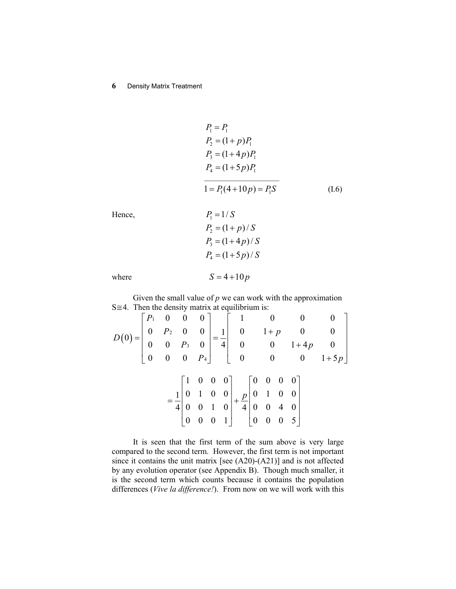$$
P_1 = P_1
$$
  
\n
$$
P_2 = (1 + p)P_1
$$
  
\n
$$
P_3 = (1 + 4p)P_1
$$
  
\n
$$
P_4 = (1 + 5p)P_1
$$
  
\n
$$
1 = P_1(4 + 10p) = P_1S
$$
 (I.6)

Hence,  $P_1 = 1/S$ 

Hence,  
\n
$$
P_1 = 1/3
$$
  
\n $P_2 = (1 + p)/S$   
\n $P_3 = (1 + 4p)/S$   
\n $P_4 = (1 + 5p)/S$ 

where **S**  $\beta$ 

$$
S = 4 + 10p
$$

Given the small value of  $p$  we can work with the approximation  $S \cong 4$ . Then the density matrix at equilibrium is:  $\overline{a}$ 

|  |  |  |                                                                                                                                                                                                                             |  | $D(0) = \begin{bmatrix} P_1 & 0 & 0 & 0 \\ 0 & P_2 & 0 & 0 \\ 0 & 0 & P_3 & 0 \\ 0 & 0 & 0 & P_4 \end{bmatrix} = \frac{1}{4} \begin{bmatrix} 1 & 0 & 0 & 0 \\ 0 & 1+p & 0 & 0 \\ 0 & 0 & 1+4p & 0 \\ 0 & 0 & 0 & 1+5p \end{bmatrix}$ |  |  |  |
|--|--|--|-----------------------------------------------------------------------------------------------------------------------------------------------------------------------------------------------------------------------------|--|--------------------------------------------------------------------------------------------------------------------------------------------------------------------------------------------------------------------------------------|--|--|--|
|  |  |  |                                                                                                                                                                                                                             |  |                                                                                                                                                                                                                                      |  |  |  |
|  |  |  |                                                                                                                                                                                                                             |  |                                                                                                                                                                                                                                      |  |  |  |
|  |  |  |                                                                                                                                                                                                                             |  |                                                                                                                                                                                                                                      |  |  |  |
|  |  |  |                                                                                                                                                                                                                             |  |                                                                                                                                                                                                                                      |  |  |  |
|  |  |  |                                                                                                                                                                                                                             |  |                                                                                                                                                                                                                                      |  |  |  |
|  |  |  |                                                                                                                                                                                                                             |  |                                                                                                                                                                                                                                      |  |  |  |
|  |  |  |                                                                                                                                                                                                                             |  |                                                                                                                                                                                                                                      |  |  |  |
|  |  |  | $= \frac{1}{4} \begin{bmatrix} 1 & 0 & 0 & 0 \\ 0 & 1 & 0 & 0 \\ 0 & 0 & 1 & 0 \\ 0 & 0 & 0 & 1 \end{bmatrix} + \frac{p}{4} \begin{bmatrix} 0 & 0 & 0 & 0 \\ 0 & 1 & 0 & 0 \\ 0 & 0 & 4 & 0 \\ 0 & 0 & 0 & 5 \end{bmatrix}$ |  |                                                                                                                                                                                                                                      |  |  |  |

It is seen that the first term of the sum above is very large compared to the second term. However, the first term is not important since it contains the unit matrix [see (A20)-(A21)] and is not affected by any evolution operator (see Appendix B). Though much smaller, it is the second term which counts because it contains the population differences (*Vive la difference!*). From now on we will work with this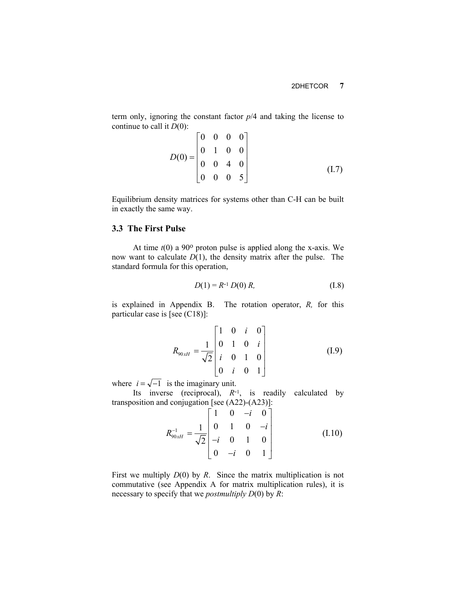term only, ignoring the constant factor *p*/4 and taking the license to continue to call it *D*(0):

$$
D(0) = \begin{bmatrix} 0 & 0 & 0 & 0 \\ 0 & 1 & 0 & 0 \\ 0 & 0 & 4 & 0 \\ 0 & 0 & 0 & 5 \end{bmatrix}
$$
 (I.7)

Equilibrium density matrices for systems other than C-H can be built in exactly the same way.

## **3.3 The First Pulse**

At time  $t(0)$  a 90 $\degree$  proton pulse is applied along the x-axis. We now want to calculate *D*(1), the density matrix after the pulse. The standard formula for this operation,

$$
D(1) = R^{-1} D(0) R, \qquad (I.8)
$$

is explained in Appendix B. The rotation operator, *R,* for this particular case is [see (C18)]:

$$
R_{90xH} = \frac{1}{\sqrt{2}} \begin{bmatrix} 1 & 0 & i & 0 \\ 0 & 1 & 0 & i \\ i & 0 & 1 & 0 \\ 0 & i & 0 & 1 \end{bmatrix}
$$
 (I.9)

where  $i = \sqrt{-1}$  is the imaginary unit.

Its inverse (reciprocal),  $R^{-1}$ , is readily calculated by transposition and conjugation [see (A22)-(A23)]:

$$
R_{90xH}^{-1} = \frac{1}{\sqrt{2}} \begin{bmatrix} 1 & 0 & -i & 0 \\ 0 & 1 & 0 & -i \\ -i & 0 & 1 & 0 \\ 0 & -i & 0 & 1 \end{bmatrix}
$$
(I.10)

First we multiply *D*(0) by *R*. Since the matrix multiplication is not commutative (see Appendix A for matrix multiplication rules), it is necessary to specify that we *postmultiply D*(0) by *R*: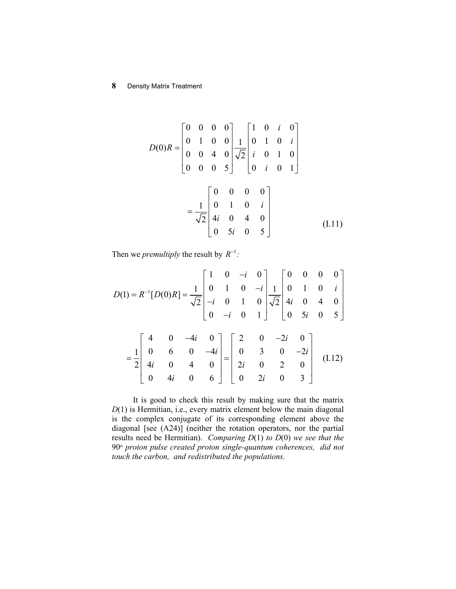$$
D(0)R = \begin{bmatrix} 0 & 0 & 0 & 0 \\ 0 & 1 & 0 & 0 \\ 0 & 0 & 4 & 0 \\ 0 & 0 & 0 & 5 \end{bmatrix} \frac{1}{\sqrt{2}} \begin{bmatrix} 1 & 0 & i & 0 \\ 0 & 1 & 0 & i \\ i & 0 & 1 & 0 \\ 0 & i & 0 & 1 \end{bmatrix}
$$

$$
= \frac{1}{\sqrt{2}} \begin{bmatrix} 0 & 0 & 0 & 0 \\ 0 & 1 & 0 & i \\ 4i & 0 & 4 & 0 \\ 0 & 5i & 0 & 5 \end{bmatrix}
$$
(I.11)

Then we *premultiply* the result by  $R^{-1}$ .

$$
D(1) = R^{-1}[D(0)R] = \frac{1}{\sqrt{2}} \begin{bmatrix} 1 & 0 & -i & 0 \\ 0 & 1 & 0 & -i \\ -i & 0 & 1 & 0 \\ 0 & -i & 0 & 1 \end{bmatrix} \frac{1}{\sqrt{2}} \begin{bmatrix} 0 & 0 & 0 & 0 \\ 0 & 1 & 0 & i \\ 4i & 0 & 4 & 0 \\ 0 & 5i & 0 & 5 \end{bmatrix}
$$

$$
= \frac{1}{2} \begin{bmatrix} 4 & 0 & -4i & 0 \\ 0 & 6 & 0 & -4i \\ 4i & 0 & 4 & 0 \\ 0 & 4i & 0 & 6 \end{bmatrix} = \begin{bmatrix} 2 & 0 & -2i & 0 \\ 0 & 3 & 0 & -2i \\ 2i & 0 & 2 & 0 \\ 0 & 2i & 0 & 3 \end{bmatrix}
$$
(I.12)

It is good to check this result by making sure that the matrix *D*(1) is Hermitian, i.e., every matrix element below the main diagonal is the complex conjugate of its corresponding element above the diagonal [see (A24)] (neither the rotation operators, nor the partial results need be Hermitian). *Comparing D*(1) *to D*(0) *we see that the*  90o *proton pulse created proton single-quantum coherences, did not touch the carbon, and redistributed the populations.*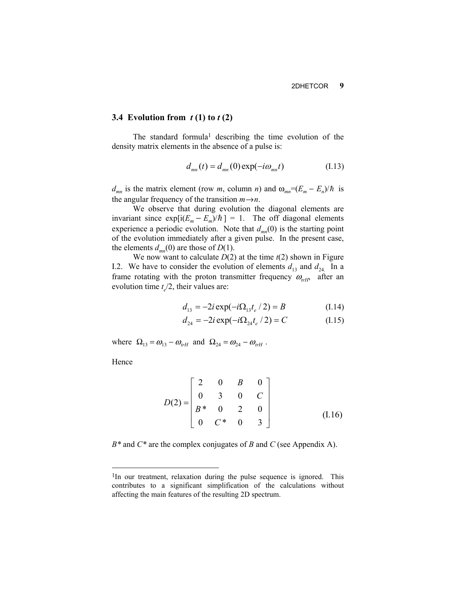#### **3.4 Evolution from** *t* **(1) to** *t* **(2)**

The standard formula<sup>1</sup> describing the time evolution of the density matrix elements in the absence of a pulse is:

$$
d_{mn}(t) = d_{mn}(0) \exp(-i\omega_{mn}t)
$$
 (I.13)

 $d_{mn}$  is the matrix element (row *m*, column *n*) and  $\omega_{mn} = (E_m - E_n)/\hbar$  is the angular frequency of the transition  $m \rightarrow n$ .

We observe that during evolution the diagonal elements are invariant since  $\exp[i(E_m - E_m)/\hbar] = 1$ . The off diagonal elements experience a periodic evolution. Note that  $d_{mn}(0)$  is the starting point of the evolution immediately after a given pulse. In the present case, the elements  $d_{mn}(0)$  are those of  $D(1)$ .

We now want to calculate  $D(2)$  at the time  $t(2)$  shown in Figure I.2. We have to consider the evolution of elements  $d_{13}$  and  $d_{24}$ . In a frame rotating with the proton transmitter frequency  $\omega_{rH}$ , after an evolution time  $t/2$ , their values are:

$$
d_{13} = -2i \exp(-i\Omega_{13}t_e / 2) = B \tag{I.14}
$$

$$
d_{24} = -2i \exp(-i\Omega_{24}t_e / 2) = C \tag{I.15}
$$

where  $\Omega_{13} = \omega_{13} - \omega_{rH}$  and  $\Omega_{24} = \omega_{24} - \omega_{rH}$ .

Hence

$$
D(2) = \begin{bmatrix} 2 & 0 & B & 0 \\ 0 & 3 & 0 & C \\ B^* & 0 & 2 & 0 \\ 0 & C^* & 0 & 3 \end{bmatrix}
$$
 (I.16)

*B\** and *C\** are the complex conjugates of *B* and *C* (see Appendix A).

<span id="page-5-0"></span><sup>&</sup>lt;sup>1</sup>In our treatment, relaxation during the pulse sequence is ignored. This contributes to a significant simplification of the calculations without affecting the main features of the resulting 2D spectrum.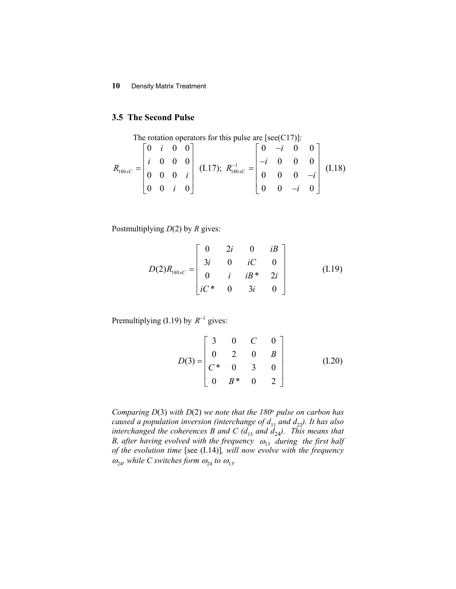### **3.5 The Second Pulse**

The rotation operators for this pulse are [see(C17)]:  
\n
$$
R_{180xC} = \begin{bmatrix} 0 & i & 0 & 0 \\ i & 0 & 0 & 0 \\ 0 & 0 & 0 & i \\ 0 & 0 & i & 0 \end{bmatrix}
$$
\n(1.17); 
$$
R_{180xC}^{-1} = \begin{bmatrix} 0 & -i & 0 & 0 \\ -i & 0 & 0 & 0 \\ 0 & 0 & 0 & -i \\ 0 & 0 & -i & 0 \end{bmatrix}
$$
\n(1.18)

Postmultiplying *D*(2) by *R* gives:

$$
D(2)R_{180xC} = \begin{bmatrix} 0 & 2i & 0 & iB \\ 3i & 0 & iC & 0 \\ 0 & i & iB^* & 2i \\ iC^* & 0 & 3i & 0 \end{bmatrix}
$$
 (I.19)

Premultiplying (I.19) by  $R^{-1}$  gives:

$$
D(3) = \begin{bmatrix} 3 & 0 & C & 0 \\ 0 & 2 & 0 & B \\ C^* & 0 & 3 & 0 \\ 0 & B^* & 0 & 2 \end{bmatrix}
$$
 (I.20)

*Comparing D*(3) *with D*(2) *we note that the 180*o *pulse on carbon has caused a population inversion (interchange of*  $d_{11}$  *and*  $d_{22}$ *). It has also interchanged the coherences B and C (* $d_{13}$  *and*  $d_{24}$ *). This means that B, after having evolved with the frequency*  $\omega_{13}$  during *the first half of the evolution time* [see (I.14)]*, will now evolve with the frequency*   $\omega_{24}$ *, while C switches form*  $\omega_{24}$  *to*  $\omega_{13}$ *.*